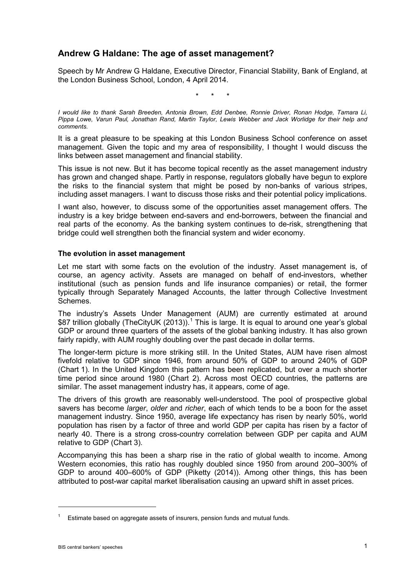# **Andrew G Haldane: The age of asset management?**

Speech by Mr Andrew G Haldane, Executive Director, Financial Stability, Bank of England, at the London Business School, London, 4 April 2014.

\* \* \*

*I would like to thank Sarah Breeden, Antonia Brown, Edd Denbee, Ronnie Driver, Ronan Hodge, Tamara Li, Pippa Lowe, Varun Paul, Jonathan Rand, Martin Taylor, Lewis Webber and Jack Worlidge for their help and comments.*

It is a great pleasure to be speaking at this London Business School conference on asset management. Given the topic and my area of responsibility, I thought I would discuss the links between asset management and financial stability.

This issue is not new. But it has become topical recently as the asset management industry has grown and changed shape. Partly in response, regulators globally have begun to explore the risks to the financial system that might be posed by non-banks of various stripes, including asset managers. I want to discuss those risks and their potential policy implications.

I want also, however, to discuss some of the opportunities asset management offers. The industry is a key bridge between end-savers and end-borrowers, between the financial and real parts of the economy. As the banking system continues to de-risk, strengthening that bridge could well strengthen both the financial system and wider economy.

### **The evolution in asset management**

Let me start with some facts on the evolution of the industry. Asset management is, of course, an agency activity. Assets are managed on behalf of end-investors, whether institutional (such as pension funds and life insurance companies) or retail, the former typically through Separately Managed Accounts, the latter through Collective Investment Schemes.

The industry's Assets Under Management (AUM) are currently estimated at around \$87 trillion globally (TheCityUK (20[1](#page-0-0)3)).<sup>1</sup> This is large. It is equal to around one year's global GDP or around three quarters of the assets of the global banking industry. It has also grown fairly rapidly, with AUM roughly doubling over the past decade in dollar terms.

The longer-term picture is more striking still. In the United States, AUM have risen almost fivefold relative to GDP since 1946, from around 50% of GDP to around 240% of GDP (Chart 1). In the United Kingdom this pattern has been replicated, but over a much shorter time period since around 1980 (Chart 2). Across most OECD countries, the patterns are similar. The asset management industry has, it appears, come of age.

The drivers of this growth are reasonably well-understood. The pool of prospective global savers has become *larger*, *older* and *richer*, each of which tends to be a boon for the asset management industry. Since 1950, average life expectancy has risen by nearly 50%, world population has risen by a factor of three and world GDP per capita has risen by a factor of nearly 40. There is a strong cross-country correlation between GDP per capita and AUM relative to GDP (Chart 3).

Accompanying this has been a sharp rise in the ratio of global wealth to income. Among Western economies, this ratio has roughly doubled since 1950 from around 200–300% of GDP to around 400–600% of GDP (Piketty (2014)). Among other things, this has been attributed to post-war capital market liberalisation causing an upward shift in asset prices.

<u>.</u>

<span id="page-0-0"></span>Estimate based on aggregate assets of insurers, pension funds and mutual funds.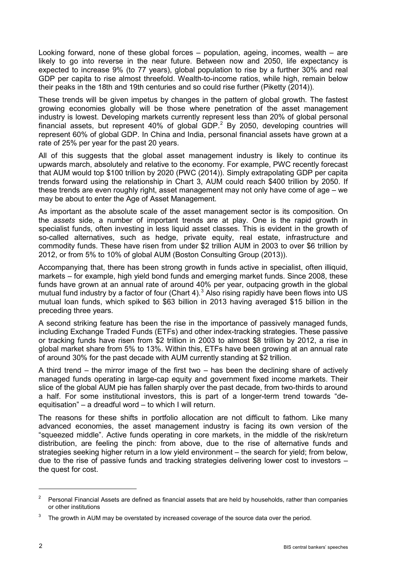Looking forward, none of these global forces – population, ageing, incomes, wealth – are likely to go into reverse in the near future. Between now and 2050, life expectancy is expected to increase 9% (to 77 years), global population to rise by a further 30% and real GDP per capita to rise almost threefold. Wealth-to-income ratios, while high, remain below their peaks in the 18th and 19th centuries and so could rise further (Piketty (2014)).

These trends will be given impetus by changes in the pattern of global growth. The fastest growing economies globally will be those where penetration of the asset management industry is lowest. Developing markets currently represent less than 20% of global personal financial assets, but represent 40% of global GDP. $^2$  $^2$  By 2050, developing countries will represent 60% of global GDP. In China and India, personal financial assets have grown at a rate of 25% per year for the past 20 years.

All of this suggests that the global asset management industry is likely to continue its upwards march, absolutely and relative to the economy. For example, PWC recently forecast that AUM would top \$100 trillion by 2020 (PWC (2014)). Simply extrapolating GDP per capita trends forward using the relationship in Chart 3, AUM could reach \$400 trillion by 2050. If these trends are even roughly right, asset management may not only have come of age – we may be about to enter the Age of Asset Management.

As important as the absolute scale of the asset management sector is its composition. On the *assets* side, a number of important trends are at play. One is the rapid growth in specialist funds, often investing in less liquid asset classes. This is evident in the growth of so-called alternatives, such as hedge, private equity, real estate, infrastructure and commodity funds. These have risen from under \$2 trillion AUM in 2003 to over \$6 trillion by 2012, or from 5% to 10% of global AUM (Boston Consulting Group (2013)).

Accompanying that, there has been strong growth in funds active in specialist, often illiquid, markets – for example, high yield bond funds and emerging market funds. Since 2008, these funds have grown at an annual rate of around 40% per year, outpacing growth in the global mutual fund industry by a factor of four (Chart 4).<sup>[3](#page-1-1)</sup> Also rising rapidly have been flows into US mutual loan funds, which spiked to \$63 billion in 2013 having averaged \$15 billion in the preceding three years.

A second striking feature has been the rise in the importance of passively managed funds, including Exchange Traded Funds (ETFs) and other index-tracking strategies. These passive or tracking funds have risen from \$2 trillion in 2003 to almost \$8 trillion by 2012, a rise in global market share from 5% to 13%. Within this, ETFs have been growing at an annual rate of around 30% for the past decade with AUM currently standing at \$2 trillion.

A third trend – the mirror image of the first two – has been the declining share of actively managed funds operating in large-cap equity and government fixed income markets. Their slice of the global AUM pie has fallen sharply over the past decade, from two-thirds to around a half. For some institutional investors, this is part of a longer-term trend towards "deequitisation" – a dreadful word – to which I will return.

The reasons for these shifts in portfolio allocation are not difficult to fathom. Like many advanced economies, the asset management industry is facing its own version of the "squeezed middle". Active funds operating in core markets, in the middle of the risk/return distribution, are feeling the pinch: from above, due to the rise of alternative funds and strategies seeking higher return in a low yield environment – the search for yield; from below, due to the rise of passive funds and tracking strategies delivering lower cost to investors – the quest for cost.

<span id="page-1-0"></span><sup>2</sup> Personal Financial Assets are defined as financial assets that are held by households, rather than companies or other institutions

<span id="page-1-1"></span>The growth in AUM may be overstated by increased coverage of the source data over the period.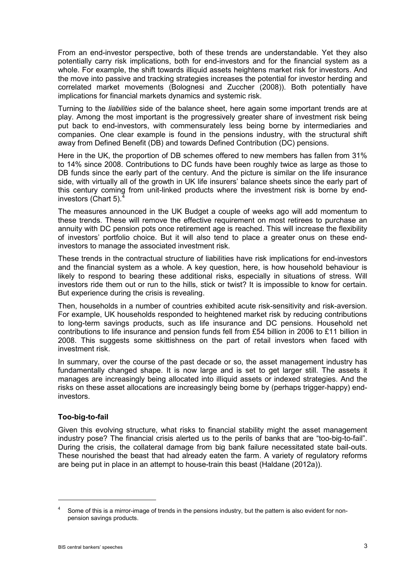From an end-investor perspective, both of these trends are understandable. Yet they also potentially carry risk implications, both for end-investors and for the financial system as a whole. For example, the shift towards illiquid assets heightens market risk for investors. And the move into passive and tracking strategies increases the potential for investor herding and correlated market movements (Bolognesi and Zuccher (2008)). Both potentially have implications for financial markets dynamics and systemic risk.

Turning to the *liabilities* side of the balance sheet, here again some important trends are at play. Among the most important is the progressively greater share of investment risk being put back to end-investors, with commensurately less being borne by intermediaries and companies. One clear example is found in the pensions industry, with the structural shift away from Defined Benefit (DB) and towards Defined Contribution (DC) pensions.

Here in the UK, the proportion of DB schemes offered to new members has fallen from 31% to 14% since 2008. Contributions to DC funds have been roughly twice as large as those to DB funds since the early part of the century. And the picture is similar on the life insurance side, with virtually all of the growth in UK life insurers' balance sheets since the early part of this century coming from unit-linked products where the investment risk is borne by endinvestors (Chart  $5$ ).

The measures announced in the UK Budget a couple of weeks ago will add momentum to these trends. These will remove the effective requirement on most retirees to purchase an annuity with DC pension pots once retirement age is reached. This will increase the flexibility of investors' portfolio choice. But it will also tend to place a greater onus on these endinvestors to manage the associated investment risk.

These trends in the contractual structure of liabilities have risk implications for end-investors and the financial system as a whole. A key question, here, is how household behaviour is likely to respond to bearing these additional risks, especially in situations of stress. Will investors ride them out or run to the hills, stick or twist? It is impossible to know for certain. But experience during the crisis is revealing.

Then, households in a number of countries exhibited acute risk-sensitivity and risk-aversion. For example, UK households responded to heightened market risk by reducing contributions to long-term savings products, such as life insurance and DC pensions. Household net contributions to life insurance and pension funds fell from £54 billion in 2006 to £11 billion in 2008. This suggests some skittishness on the part of retail investors when faced with investment risk.

In summary, over the course of the past decade or so, the asset management industry has fundamentally changed shape. It is now large and is set to get larger still. The assets it manages are increasingly being allocated into illiquid assets or indexed strategies. And the risks on these asset allocations are increasingly being borne by (perhaps trigger-happy) endinvestors.

## **Too-big-to-fail**

Given this evolving structure, what risks to financial stability might the asset management industry pose? The financial crisis alerted us to the perils of banks that are "too-big-to-fail". During the crisis, the collateral damage from big bank failure necessitated state bail-outs. These nourished the beast that had already eaten the farm. A variety of regulatory reforms are being put in place in an attempt to house-train this beast (Haldane (2012a)).

<span id="page-2-0"></span><sup>&</sup>lt;sup>4</sup> Some of this is a mirror-image of trends in the pensions industry, but the pattern is also evident for nonpension savings products.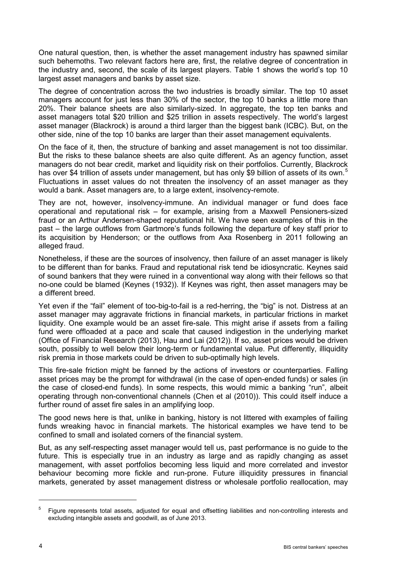One natural question, then, is whether the asset management industry has spawned similar such behemoths. Two relevant factors here are, first, the relative degree of concentration in the industry and, second, the scale of its largest players. Table 1 shows the world's top 10 largest asset managers and banks by asset size.

The degree of concentration across the two industries is broadly similar. The top 10 asset managers account for just less than 30% of the sector, the top 10 banks a little more than 20%. Their balance sheets are also similarly-sized. In aggregate, the top ten banks and asset managers total \$20 trillion and \$25 trillion in assets respectively. The world's largest asset manager (Blackrock) is around a third larger than the biggest bank (ICBC). But, on the other side, nine of the top 10 banks are larger than their asset management equivalents.

On the face of it, then, the structure of banking and asset management is not too dissimilar. But the risks to these balance sheets are also quite different. As an agency function, asset managers do not bear credit, market and liquidity risk on their portfolios. Currently, Blackrock has over \$4 trillion of assets under management, but has only \$9 billion of assets of its own.<sup>[5](#page-3-0)</sup> Fluctuations in asset values do not threaten the insolvency of an asset manager as they would a bank. Asset managers are, to a large extent, insolvency-remote.

They are not, however, insolvency-immune. An individual manager or fund does face operational and reputational risk – for example, arising from a Maxwell Pensioners-sized fraud or an Arthur Andersen-shaped reputational hit. We have seen examples of this in the past – the large outflows from Gartmore's funds following the departure of key staff prior to its acquisition by Henderson; or the outflows from Axa Rosenberg in 2011 following an alleged fraud.

Nonetheless, if these are the sources of insolvency, then failure of an asset manager is likely to be different than for banks. Fraud and reputational risk tend be idiosyncratic. Keynes said of sound bankers that they were ruined in a conventional way along with their fellows so that no-one could be blamed (Keynes (1932)). If Keynes was right, then asset managers may be a different breed.

Yet even if the "fail" element of too-big-to-fail is a red-herring, the "big" is not. Distress at an asset manager may aggravate frictions in financial markets, in particular frictions in market liquidity. One example would be an asset fire-sale. This might arise if assets from a failing fund were offloaded at a pace and scale that caused indigestion in the underlying market (Office of Financial Research (2013), Hau and Lai (2012)). If so, asset prices would be driven south, possibly to well below their long-term or fundamental value. Put differently, illiquidity risk premia in those markets could be driven to sub-optimally high levels.

This fire-sale friction might be fanned by the actions of investors or counterparties. Falling asset prices may be the prompt for withdrawal (in the case of open-ended funds) or sales (in the case of closed-end funds). In some respects, this would mimic a banking "run", albeit operating through non-conventional channels (Chen et al (2010)). This could itself induce a further round of asset fire sales in an amplifying loop.

The good news here is that, unlike in banking, history is not littered with examples of failing funds wreaking havoc in financial markets. The historical examples we have tend to be confined to small and isolated corners of the financial system.

But, as any self-respecting asset manager would tell us, past performance is no guide to the future. This is especially true in an industry as large and as rapidly changing as asset management, with asset portfolios becoming less liquid and more correlated and investor behaviour becoming more fickle and run-prone. Future illiquidity pressures in financial markets, generated by asset management distress or wholesale portfolio reallocation, may

<span id="page-3-0"></span><sup>5</sup> Figure represents total assets, adjusted for equal and offsetting liabilities and non-controlling interests and excluding intangible assets and goodwill, as of June 2013.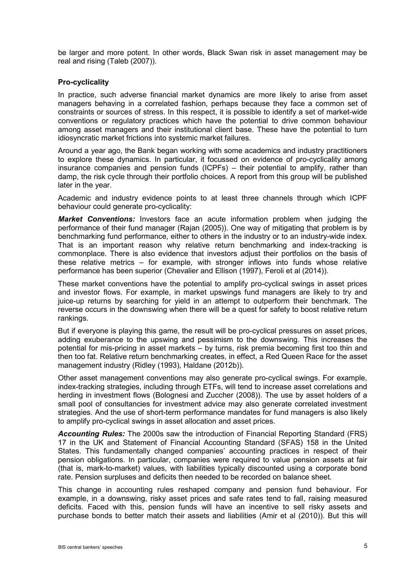be larger and more potent. In other words, Black Swan risk in asset management may be real and rising (Taleb (2007)).

### **Pro-cyclicality**

In practice, such adverse financial market dynamics are more likely to arise from asset managers behaving in a correlated fashion, perhaps because they face a common set of constraints or sources of stress. In this respect, it is possible to identify a set of market-wide conventions or regulatory practices which have the potential to drive common behaviour among asset managers and their institutional client base. These have the potential to turn idiosyncratic market frictions into systemic market failures.

Around a year ago, the Bank began working with some academics and industry practitioners to explore these dynamics. In particular, it focussed on evidence of pro-cyclicality among insurance companies and pension funds (ICPFs) – their potential to amplify, rather than damp, the risk cycle through their portfolio choices. A report from this group will be published later in the year.

Academic and industry evidence points to at least three channels through which ICPF behaviour could generate pro-cyclicality:

*Market Conventions:* Investors face an acute information problem when judging the performance of their fund manager (Rajan (2005)). One way of mitigating that problem is by benchmarking fund performance, either to others in the industry or to an industry-wide index. That is an important reason why relative return benchmarking and index-tracking is commonplace. There is also evidence that investors adjust their portfolios on the basis of these relative metrics – for example, with stronger inflows into funds whose relative performance has been superior (Chevalier and Ellison (1997), Feroli et al (2014)).

These market conventions have the potential to amplify pro-cyclical swings in asset prices and investor flows. For example, in market upswings fund managers are likely to try and juice-up returns by searching for yield in an attempt to outperform their benchmark. The reverse occurs in the downswing when there will be a quest for safety to boost relative return rankings.

But if everyone is playing this game, the result will be pro-cyclical pressures on asset prices, adding exuberance to the upswing and pessimism to the downswing. This increases the potential for mis-pricing in asset markets – by turns, risk premia becoming first too thin and then too fat. Relative return benchmarking creates, in effect, a Red Queen Race for the asset management industry (Ridley (1993), Haldane (2012b)).

Other asset management conventions may also generate pro-cyclical swings. For example, index-tracking strategies, including through ETFs, will tend to increase asset correlations and herding in investment flows (Bolognesi and Zuccher (2008)). The use by asset holders of a small pool of consultancies for investment advice may also generate correlated investment strategies. And the use of short-term performance mandates for fund managers is also likely to amplify pro-cyclical swings in asset allocation and asset prices.

*Accounting Rules:* The 2000s saw the introduction of Financial Reporting Standard (FRS) 17 in the UK and Statement of Financial Accounting Standard (SFAS) 158 in the United States. This fundamentally changed companies' accounting practices in respect of their pension obligations. In particular, companies were required to value pension assets at fair (that is, mark-to-market) values, with liabilities typically discounted using a corporate bond rate. Pension surpluses and deficits then needed to be recorded on balance sheet.

This change in accounting rules reshaped company and pension fund behaviour. For example, in a downswing, risky asset prices and safe rates tend to fall, raising measured deficits. Faced with this, pension funds will have an incentive to sell risky assets and purchase bonds to better match their assets and liabilities (Amir et al (2010)). But this will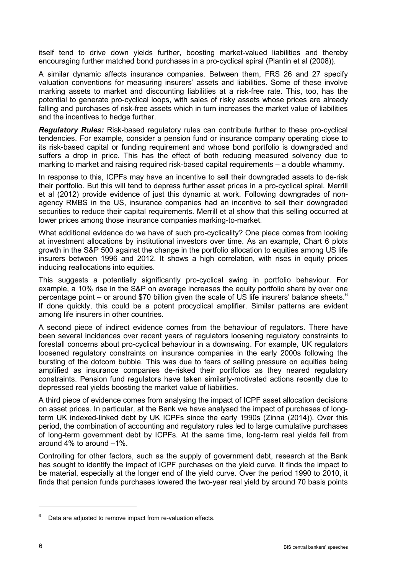itself tend to drive down yields further, boosting market-valued liabilities and thereby encouraging further matched bond purchases in a pro-cyclical spiral (Plantin et al (2008)).

A similar dynamic affects insurance companies. Between them, FRS 26 and 27 specify valuation conventions for measuring insurers' assets and liabilities. Some of these involve marking assets to market and discounting liabilities at a risk-free rate. This, too, has the potential to generate pro-cyclical loops, with sales of risky assets whose prices are already falling and purchases of risk-free assets which in turn increases the market value of liabilities and the incentives to hedge further.

*Regulatory Rules:* Risk-based regulatory rules can contribute further to these pro-cyclical tendencies. For example, consider a pension fund or insurance company operating close to its risk-based capital or funding requirement and whose bond portfolio is downgraded and suffers a drop in price. This has the effect of both reducing measured solvency due to marking to market and raising required risk-based capital requirements – a double whammy.

In response to this, ICPFs may have an incentive to sell their downgraded assets to de-risk their portfolio. But this will tend to depress further asset prices in a pro-cyclical spiral. Merrill et al (2012) provide evidence of just this dynamic at work. Following downgrades of nonagency RMBS in the US, insurance companies had an incentive to sell their downgraded securities to reduce their capital requirements. Merrill et al show that this selling occurred at lower prices among those insurance companies marking-to-market.

What additional evidence do we have of such pro-cyclicality? One piece comes from looking at investment allocations by institutional investors over time. As an example, Chart 6 plots growth in the S&P 500 against the change in the portfolio allocation to equities among US life insurers between 1996 and 2012. It shows a high correlation, with rises in equity prices inducing reallocations into equities.

This suggests a potentially significantly pro-cyclical swing in portfolio behaviour. For example, a 10% rise in the S&P on average increases the equity portfolio share by over one percentage point – or around \$70 billion given the scale of US life insurers' balance sheets. $6$ If done quickly, this could be a potent procyclical amplifier. Similar patterns are evident among life insurers in other countries.

A second piece of indirect evidence comes from the behaviour of regulators. There have been several incidences over recent years of regulators loosening regulatory constraints to forestall concerns about pro-cyclical behaviour in a downswing. For example, UK regulators loosened regulatory constraints on insurance companies in the early 2000s following the bursting of the dotcom bubble. This was due to fears of selling pressure on equities being amplified as insurance companies de-risked their portfolios as they neared regulatory constraints. Pension fund regulators have taken similarly-motivated actions recently due to depressed real yields boosting the market value of liabilities.

A third piece of evidence comes from analysing the impact of ICPF asset allocation decisions on asset prices. In particular, at the Bank we have analysed the impact of purchases of longterm UK indexed-linked debt by UK ICPFs since the early 1990s (Zinna (2014)). Over this period, the combination of accounting and regulatory rules led to large cumulative purchases of long-term government debt by ICPFs. At the same time, long-term real yields fell from around 4% to around –1%.

Controlling for other factors, such as the supply of government debt, research at the Bank has sought to identify the impact of ICPF purchases on the yield curve. It finds the impact to be material, especially at the longer end of the yield curve. Over the period 1990 to 2010, it finds that pension funds purchases lowered the two-year real yield by around 70 basis points

<span id="page-5-0"></span>Data are adjusted to remove impact from re-valuation effects.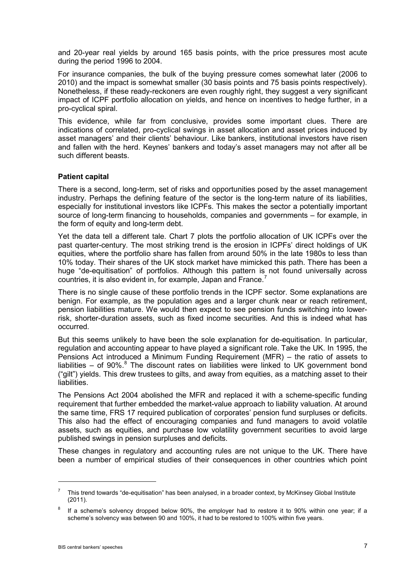and 20-year real yields by around 165 basis points, with the price pressures most acute during the period 1996 to 2004.

For insurance companies, the bulk of the buying pressure comes somewhat later (2006 to 2010) and the impact is somewhat smaller (30 basis points and 75 basis points respectively). Nonetheless, if these ready-reckoners are even roughly right, they suggest a very significant impact of ICPF portfolio allocation on yields, and hence on incentives to hedge further, in a pro-cyclical spiral.

This evidence, while far from conclusive, provides some important clues. There are indications of correlated, pro-cyclical swings in asset allocation and asset prices induced by asset managers' and their clients' behaviour. Like bankers, institutional investors have risen and fallen with the herd. Keynes' bankers and today's asset managers may not after all be such different beasts.

## **Patient capital**

There is a second, long-term, set of risks and opportunities posed by the asset management industry. Perhaps the defining feature of the sector is the long-term nature of its liabilities, especially for institutional investors like ICPFs. This makes the sector a potentially important source of long-term financing to households, companies and governments – for example, in the form of equity and long-term debt.

Yet the data tell a different tale. Chart 7 plots the portfolio allocation of UK ICPFs over the past quarter-century. The most striking trend is the erosion in ICPFs' direct holdings of UK equities, where the portfolio share has fallen from around 50% in the late 1980s to less than 10% today. Their shares of the UK stock market have mimicked this path. There has been a huge "de-equitisation" of portfolios. Although this pattern is not found universally across countries, it is also evident in, for example, Japan and France.<sup>[7](#page-6-0)</sup>

There is no single cause of these portfolio trends in the ICPF sector. Some explanations are benign. For example, as the population ages and a larger chunk near or reach retirement, pension liabilities mature. We would then expect to see pension funds switching into lowerrisk, shorter-duration assets, such as fixed income securities. And this is indeed what has occurred.

But this seems unlikely to have been the sole explanation for de-equitisation. In particular, regulation and accounting appear to have played a significant role. Take the UK. In 1995, the Pensions Act introduced a Minimum Funding Requirement (MFR) – the ratio of assets to liabilities – of 90%. $8$  The discount rates on liabilities were linked to UK government bond ("gilt") yields. This drew trustees to gilts, and away from equities, as a matching asset to their liabilities.

The Pensions Act 2004 abolished the MFR and replaced it with a scheme-specific funding requirement that further embedded the market-value approach to liability valuation. At around the same time, FRS 17 required publication of corporates' pension fund surpluses or deficits. This also had the effect of encouraging companies and fund managers to avoid volatile assets, such as equities, and purchase low volatility government securities to avoid large published swings in pension surpluses and deficits.

These changes in regulatory and accounting rules are not unique to the UK. There have been a number of empirical studies of their consequences in other countries which point

<span id="page-6-0"></span><sup>7</sup> This trend towards "de-equitisation" has been analysed, in a broader context, by McKinsey Global Institute (2011).

<span id="page-6-1"></span>If a scheme's solvency dropped below 90%, the employer had to restore it to 90% within one year; if a scheme's solvency was between 90 and 100%, it had to be restored to 100% within five years.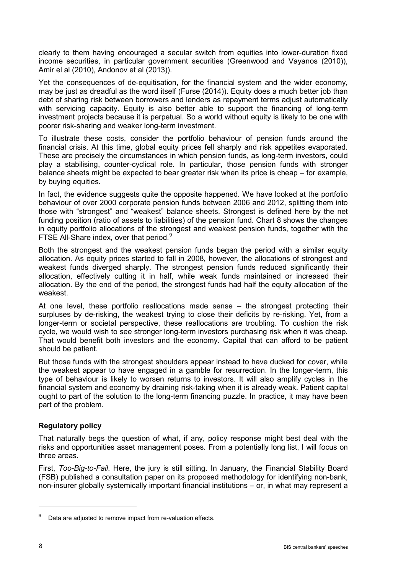clearly to them having encouraged a secular switch from equities into lower-duration fixed income securities, in particular government securities (Greenwood and Vayanos (2010)), Amir el al (2010), Andonov et al (2013)).

Yet the consequences of de-equitisation, for the financial system and the wider economy, may be just as dreadful as the word itself (Furse (2014)). Equity does a much better job than debt of sharing risk between borrowers and lenders as repayment terms adjust automatically with servicing capacity. Equity is also better able to support the financing of long-term investment projects because it is perpetual. So a world without equity is likely to be one with poorer risk-sharing and weaker long-term investment.

To illustrate these costs, consider the portfolio behaviour of pension funds around the financial crisis. At this time, global equity prices fell sharply and risk appetites evaporated. These are precisely the circumstances in which pension funds, as long-term investors, could play a stabilising, counter-cyclical role. In particular, those pension funds with stronger balance sheets might be expected to bear greater risk when its price is cheap – for example, by buying equities.

In fact, the evidence suggests quite the opposite happened. We have looked at the portfolio behaviour of over 2000 corporate pension funds between 2006 and 2012, splitting them into those with "strongest" and "weakest" balance sheets. Strongest is defined here by the net funding position (ratio of assets to liabilities) of the pension fund. Chart 8 shows the changes in equity portfolio allocations of the strongest and weakest pension funds, together with the FTSE All-Share index, over that period.<sup>[9](#page-7-0)</sup>

Both the strongest and the weakest pension funds began the period with a similar equity allocation. As equity prices started to fall in 2008, however, the allocations of strongest and weakest funds diverged sharply. The strongest pension funds reduced significantly their allocation, effectively cutting it in half, while weak funds maintained or increased their allocation. By the end of the period, the strongest funds had half the equity allocation of the weakest.

At one level, these portfolio reallocations made sense – the strongest protecting their surpluses by de-risking, the weakest trying to close their deficits by re-risking. Yet, from a longer-term or societal perspective, these reallocations are troubling. To cushion the risk cycle, we would wish to see stronger long-term investors purchasing risk when it was cheap. That would benefit both investors and the economy. Capital that can afford to be patient should be patient.

But those funds with the strongest shoulders appear instead to have ducked for cover, while the weakest appear to have engaged in a gamble for resurrection. In the longer-term, this type of behaviour is likely to worsen returns to investors. It will also amplify cycles in the financial system and economy by draining risk-taking when it is already weak. Patient capital ought to part of the solution to the long-term financing puzzle. In practice, it may have been part of the problem.

## **Regulatory policy**

That naturally begs the question of what, if any, policy response might best deal with the risks and opportunities asset management poses. From a potentially long list, I will focus on three areas.

First, *Too-Big-to-Fail*. Here, the jury is still sitting. In January, the Financial Stability Board (FSB) published a consultation paper on its proposed methodology for identifying non-bank, non-insurer globally systemically important financial institutions – or, in what may represent a

<span id="page-7-0"></span>Data are adjusted to remove impact from re-valuation effects.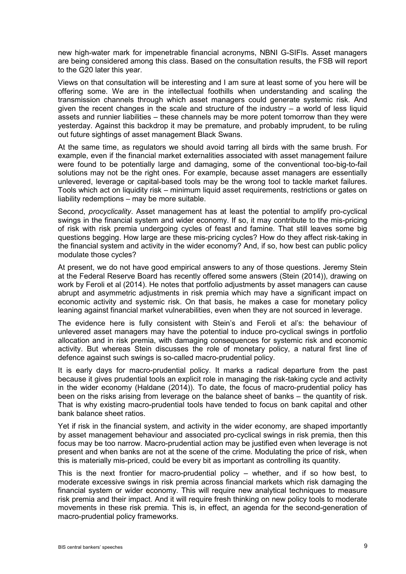new high-water mark for impenetrable financial acronyms, NBNI G-SIFIs. Asset managers are being considered among this class. Based on the consultation results, the FSB will report to the G20 later this year.

Views on that consultation will be interesting and I am sure at least some of you here will be offering some. We are in the intellectual foothills when understanding and scaling the transmission channels through which asset managers could generate systemic risk. And given the recent changes in the scale and structure of the industry – a world of less liquid assets and runnier liabilities – these channels may be more potent tomorrow than they were yesterday. Against this backdrop it may be premature, and probably imprudent, to be ruling out future sightings of asset management Black Swans.

At the same time, as regulators we should avoid tarring all birds with the same brush. For example, even if the financial market externalities associated with asset management failure were found to be potentially large and damaging, some of the conventional too-big-to-fail solutions may not be the right ones. For example, because asset managers are essentially unlevered, leverage or capital-based tools may be the wrong tool to tackle market failures. Tools which act on liquidity risk – minimum liquid asset requirements, restrictions or gates on liability redemptions – may be more suitable.

Second, *procyclicality*. Asset management has at least the potential to amplify pro-cyclical swings in the financial system and wider economy. If so, it may contribute to the mis-pricing of risk with risk premia undergoing cycles of feast and famine. That still leaves some big questions begging. How large are these mis-pricing cycles? How do they affect risk-taking in the financial system and activity in the wider economy? And, if so, how best can public policy modulate those cycles?

At present, we do not have good empirical answers to any of those questions. Jeremy Stein at the Federal Reserve Board has recently offered some answers (Stein (2014)), drawing on work by Feroli et al (2014). He notes that portfolio adjustments by asset managers can cause abrupt and asymmetric adjustments in risk premia which may have a significant impact on economic activity and systemic risk. On that basis, he makes a case for monetary policy leaning against financial market vulnerabilities, even when they are not sourced in leverage.

The evidence here is fully consistent with Stein's and Feroli et al's: the behaviour of unlevered asset managers may have the potential to induce pro-cyclical swings in portfolio allocation and in risk premia, with damaging consequences for systemic risk and economic activity. But whereas Stein discusses the role of monetary policy, a natural first line of defence against such swings is so-called macro-prudential policy.

It is early days for macro-prudential policy. It marks a radical departure from the past because it gives prudential tools an explicit role in managing the risk-taking cycle and activity in the wider economy (Haldane (2014)). To date, the focus of macro-prudential policy has been on the risks arising from leverage on the balance sheet of banks – the quantity of risk. That is why existing macro-prudential tools have tended to focus on bank capital and other bank balance sheet ratios.

Yet if risk in the financial system, and activity in the wider economy, are shaped importantly by asset management behaviour and associated pro-cyclical swings in risk premia, then this focus may be too narrow. Macro-prudential action may be justified even when leverage is not present and when banks are not at the scene of the crime. Modulating the price of risk, when this is materially mis-priced, could be every bit as important as controlling its quantity.

This is the next frontier for macro-prudential policy – whether, and if so how best, to moderate excessive swings in risk premia across financial markets which risk damaging the financial system or wider economy. This will require new analytical techniques to measure risk premia and their impact. And it will require fresh thinking on new policy tools to moderate movements in these risk premia. This is, in effect, an agenda for the second-generation of macro-prudential policy frameworks.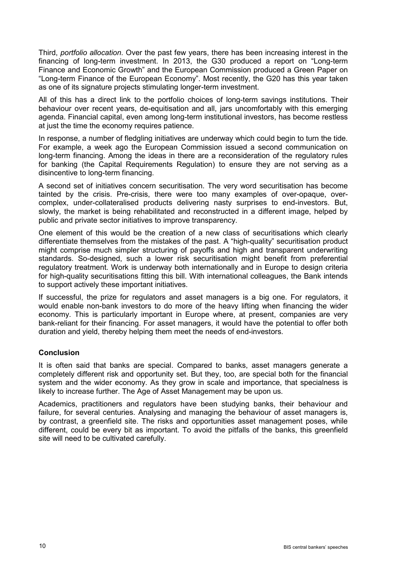Third, *portfolio allocation*. Over the past few years, there has been increasing interest in the financing of long-term investment. In 2013, the G30 produced a report on "Long-term Finance and Economic Growth" and the European Commission produced a Green Paper on "Long-term Finance of the European Economy". Most recently, the G20 has this year taken as one of its signature projects stimulating longer-term investment.

All of this has a direct link to the portfolio choices of long-term savings institutions. Their behaviour over recent years, de-equitisation and all, jars uncomfortably with this emerging agenda. Financial capital, even among long-term institutional investors, has become restless at just the time the economy requires patience.

In response, a number of fledgling initiatives are underway which could begin to turn the tide. For example, a week ago the European Commission issued a second communication on long-term financing. Among the ideas in there are a reconsideration of the regulatory rules for banking (the Capital Requirements Regulation) to ensure they are not serving as a disincentive to long-term financing.

A second set of initiatives concern securitisation. The very word securitisation has become tainted by the crisis. Pre-crisis, there were too many examples of over-opaque, overcomplex, under-collateralised products delivering nasty surprises to end-investors. But, slowly, the market is being rehabilitated and reconstructed in a different image, helped by public and private sector initiatives to improve transparency.

One element of this would be the creation of a new class of securitisations which clearly differentiate themselves from the mistakes of the past. A "high-quality" securitisation product might comprise much simpler structuring of payoffs and high and transparent underwriting standards. So-designed, such a lower risk securitisation might benefit from preferential regulatory treatment. Work is underway both internationally and in Europe to design criteria for high-quality securitisations fitting this bill. With international colleagues, the Bank intends to support actively these important initiatives.

If successful, the prize for regulators and asset managers is a big one. For regulators, it would enable non-bank investors to do more of the heavy lifting when financing the wider economy. This is particularly important in Europe where, at present, companies are very bank-reliant for their financing. For asset managers, it would have the potential to offer both duration and yield, thereby helping them meet the needs of end-investors.

## **Conclusion**

It is often said that banks are special. Compared to banks, asset managers generate a completely different risk and opportunity set. But they, too, are special both for the financial system and the wider economy. As they grow in scale and importance, that specialness is likely to increase further. The Age of Asset Management may be upon us.

Academics, practitioners and regulators have been studying banks, their behaviour and failure, for several centuries. Analysing and managing the behaviour of asset managers is, by contrast, a greenfield site. The risks and opportunities asset management poses, while different, could be every bit as important. To avoid the pitfalls of the banks, this greenfield site will need to be cultivated carefully.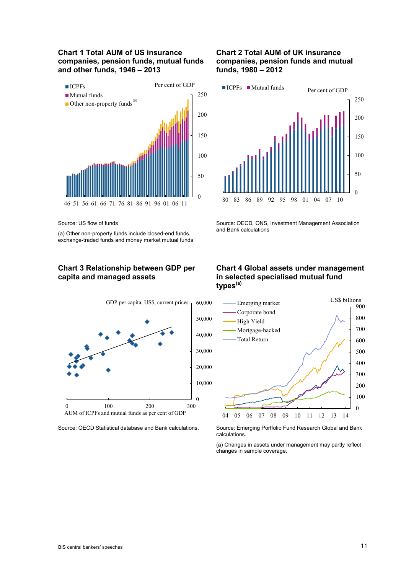### **Chart 1 Total AUM of US insurance companies, pension funds, mutual funds and other funds, 1946 – 2013**



Source: US flow of funds

(a) Other non-property funds include closed-end funds, exchange-traded funds and money market mutual funds

## **Chart 3 Relationship between GDP per capita and managed assets**



## **Chart 2 Total AUM of UK insurance companies, pension funds and mutual funds, 1980 – 2012**



Source: OECD, ONS, Investment Management Association and Bank calculations

#### **Chart 4 Global assets under management in selected specialised mutual fund types(a)**



Source: OECD Statistical database and Bank calculations. Source: Emerging Portfolio Fund Research Global and Bank calculations.

> (a) Changes in assets under management may partly reflect changes in sample coverage.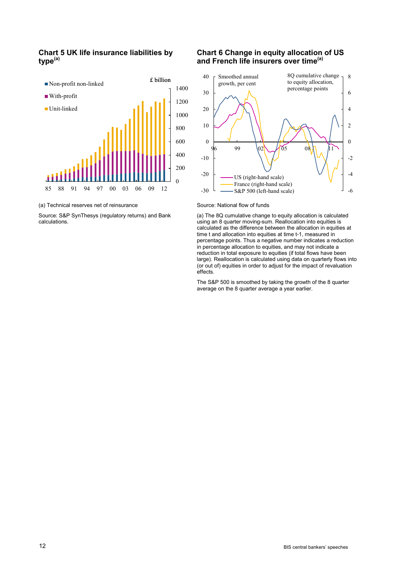### **Chart 5 UK life insurance liabilities by type(a)**



#### (a) Technical reserves net of reinsurance

Source: S&P SynThesys (regulatory returns) and Bank calculations.

#### **Chart 6 Change in equity allocation of US and French life insurers over time(a)**



#### Source: National flow of funds

(a) The 8Q cumulative change to equity allocation is calculated using an 8 quarter moving-sum. Reallocation into equities is calculated as the difference between the allocation in equities at time t and allocation into equities at time t-1, measured in percentage points. Thus a negative number indicates a reduction in percentage allocation to equities, and may not indicate a reduction in total exposure to equities (if total flows have been large). Reallocation is calculated using data on quarterly flows into (or out of) equities in order to adjust for the impact of revaluation effects.

The S&P 500 is smoothed by taking the growth of the 8 quarter average on the 8 quarter average a year earlier.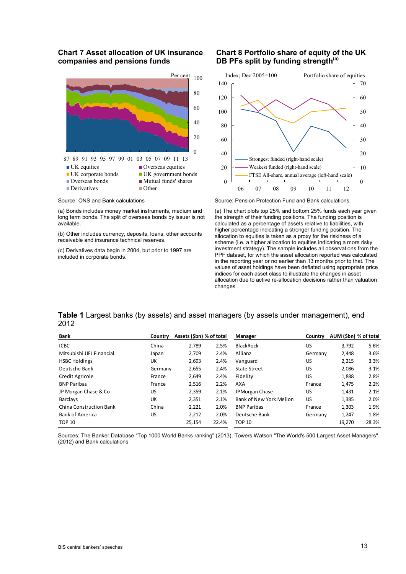#### **Chart 7 Asset allocation of UK insurance companies and pensions funds**



Source: ONS and Bank calculations

(a) Bonds includes money market instruments, medium and long term bonds. The split of overseas bonds by issuer is not available.

(b) Other includes currency, deposits, loans, other accounts receivable and insurance technical reserves.

(c) Derivatives data begin in 2004, but prior to 1997 are included in corporate bonds.

### **Chart 8 Portfolio share of equity of the UK**  DB PFs split by funding strength<sup>(a)</sup>



Source: Pension Protection Fund and Bank calculations

(a) The chart plots top 25% and bottom 25% funds each year given the strength of their funding positions. The funding position is calculated as a percentage of assets relative to liabilities, with higher percentage indicating a stronger funding position. The allocation to equities is taken as a proxy for the riskiness of a scheme (i.e. a higher allocation to equities indicating a more risky investment strategy). The sample includes all observations from the PPF dataset, for which the asset allocation reported was calculated in the reporting year or no earlier than 13 months prior to that. The values of asset holdings have been deflated using appropriate price indices for each asset class to illustrate the changes in asset allocation due to active re-allocation decisions rather than valuation changes

#### **Table 1** Largest banks (by assets) and asset managers (by assets under management), end 2012

| Bank                           | Country | Assets (\$bn) % of total |       | Manager                 | Country | AUM (\$bn) % of total |       |
|--------------------------------|---------|--------------------------|-------|-------------------------|---------|-----------------------|-------|
| <b>ICBC</b>                    | China   | 2.789                    | 2.5%  | BlackRock               | US      | 3,792                 | 5.6%  |
| Mitsubishi UFJ Financial       | Japan   | 2.709                    | 2.4%  | Allianz                 | Germany | 2,448                 | 3.6%  |
| <b>HSBC Holdings</b>           | UK      | 2,693                    | 2.4%  | Vanguard                | US      | 2,215                 | 3.3%  |
| Deutsche Bank                  | Germany | 2,655                    | 2.4%  | <b>State Street</b>     | US      | 2,086                 | 3.1%  |
| Credit Agricole                | France  | 2,649                    | 2.4%  | Fidelity                | US      | 1,888                 | 2.8%  |
| <b>BNP Paribas</b>             | France  | 2.516                    | 2.2%  | <b>AXA</b>              | France  | 1,475                 | 2.2%  |
| JP Morgan Chase & Co           | US      | 2,359                    | 2.1%  | JPMorgan Chase          | US      | 1,431                 | 2.1%  |
| <b>Barclavs</b>                | UK      | 2,351                    | 2.1%  | Bank of New York Mellon | US.     | 1,385                 | 2.0%  |
| <b>China Construction Bank</b> | China   | 2,221                    | 2.0%  | <b>BNP Paribas</b>      | France  | 1,303                 | 1.9%  |
| <b>Bank of America</b>         | US      | 2,212                    | 2.0%  | Deutsche Bank           | Germany | 1,247                 | 1.8%  |
| <b>TOP 10</b>                  |         | 25.154                   | 22.4% | <b>TOP 10</b>           |         | 19.270                | 28.3% |

Sources: The Banker Database "Top 1000 World Banks ranking" (2013), Towers Watson "The World's 500 Largest Asset Managers" (2012) and Bank calculations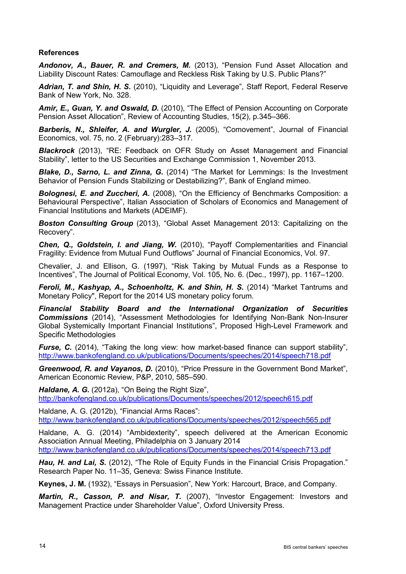## **References**

*Andonov, A., Bauer, R. and Cremers, M.* (2013), "Pension Fund Asset Allocation and Liability Discount Rates: Camouflage and Reckless Risk Taking by U.S. Public Plans?"

Adrian, T. and Shin, H. S. (2010), "Liquidity and Leverage", Staff Report, Federal Reserve Bank of New York, No. 328.

*Amir, E., Guan, Y. and Oswald, D.* (2010), "The Effect of Pension Accounting on Corporate Pension Asset Allocation", Review of Accounting Studies, 15(2), p.345–366.

*Barberis, N., Shleifer, A. and Wurgler, J.* (2005), "Comovement", Journal of Financial Economics, vol. 75, no. 2 (February):283–317.

*Blackrock* (2013), "RE: Feedback on OFR Study on Asset Management and Financial Stability", letter to the US Securities and Exchange Commission 1, November 2013.

*Blake, D., Sarno, L. and Zinna, G.* (2014) "The Market for Lemmings: Is the Investment Behavior of Pension Funds Stabilizing or Destabilizing?", Bank of England mimeo.

**Bolognesi, E. and Zuccheri, A.** (2008), "On the Efficiency of Benchmarks Composition: a Behavioural Perspective", Italian Association of Scholars of Economics and Management of Financial Institutions and Markets (ADEIMF).

*Boston Consulting Group* (2013), "Global Asset Management 2013: Capitalizing on the Recovery".

*Chen, Q., Goldstein, I. and Jiang, W.* (2010), "Payoff Complementarities and Financial Fragility: Evidence from Mutual Fund Outflows" Journal of Financial Economics, Vol. 97.

Chevalier, J. and Ellison, G. (1997), "Risk Taking by Mutual Funds as a Response to Incentives", The Journal of Political Economy, Vol. 105, No. 6. (Dec., 1997), pp. 1167–1200.

*Feroli, M., Kashyap, A., Schoenholtz, K. and Shin, H. S. (2014) "Market Tantrums and* Monetary Policy", Report for the 2014 US monetary policy forum.

*Financial Stability Board and the International Organization of Securities Commissions* (2014), "Assessment Methodologies for Identifying Non-Bank Non-Insurer Global Systemically Important Financial Institutions", Proposed High-Level Framework and Specific Methodologies

*Furse, C.* (2014), "Taking the long view: how market-based finance can support stability", <http://www.bankofengland.co.uk/publications/Documents/speeches/2014/speech718.pdf>

*Greenwood, R. and Vayanos, D.* (2010), "Price Pressure in the Government Bond Market", American Economic Review, P&P, 2010, 585–590.

*Haldane, A. G.* (2012a), "On Being the Right Size", <http://bankofengland.co.uk/publications/Documents/speeches/2012/speech615.pdf>

Haldane, A. G. (2012b), "Financial Arms Races": <http://www.bankofengland.co.uk/publications/Documents/speeches/2012/speech565.pdf>

Haldane, A. G. (2014) "Ambidexterity", speech delivered at the American Economic Association Annual Meeting, Philadelphia on 3 January 2014

<http://www.bankofengland.co.uk/publications/Documents/speeches/2014/speech713.pdf>

*Hau, H. and Lai, S.* (2012), "The Role of Equity Funds in the Financial Crisis Propagation." Research Paper No. 11–35, Geneva: Swiss Finance Institute.

**Keynes, J. M.** (1932), "Essays in Persuasion", New York: Harcourt, Brace, and Company.

*Martin, R., Casson, P. and Nisar, T.* (2007), "Investor Engagement: Investors and Management Practice under Shareholder Value", Oxford University Press.